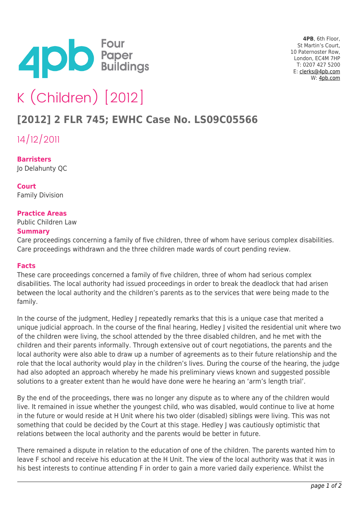

**4PB**, 6th Floor, St Martin's Court, 10 Paternoster Row, London, EC4M 7HP T: 0207 427 5200 E: [clerks@4pb.com](mailto:clerks@4pb.com) W: [4pb.com](http://4pb.com)

# K (Children) [2012]

# **[2012] 2 FLR 745; EWHC Case No. LS09C05566**

14/12/2011

**Barristers** Jo Delahunty QC

**Court** Family Division

## **Practice Areas**

Public Children Law

#### **Summary**

Care proceedings concerning a family of five children, three of whom have serious complex disabilities. Care proceedings withdrawn and the three children made wards of court pending review.

#### **Facts**

These care proceedings concerned a family of five children, three of whom had serious complex disabilities. The local authority had issued proceedings in order to break the deadlock that had arisen between the local authority and the children's parents as to the services that were being made to the family.

In the course of the judgment, Hedley J repeatedly remarks that this is a unique case that merited a unique judicial approach. In the course of the final hearing, Hedley J visited the residential unit where two of the children were living, the school attended by the three disabled children, and he met with the children and their parents informally. Through extensive out of court negotiations, the parents and the local authority were also able to draw up a number of agreements as to their future relationship and the role that the local authority would play in the children's lives. During the course of the hearing, the judge had also adopted an approach whereby he made his preliminary views known and suggested possible solutions to a greater extent than he would have done were he hearing an 'arm's length trial'.

By the end of the proceedings, there was no longer any dispute as to where any of the children would live. It remained in issue whether the youngest child, who was disabled, would continue to live at home in the future or would reside at H Unit where his two older (disabled) siblings were living. This was not something that could be decided by the Court at this stage. Hedley I was cautiously optimistic that relations between the local authority and the parents would be better in future.

There remained a dispute in relation to the education of one of the children. The parents wanted him to leave F school and receive his education at the H Unit. The view of the local authority was that it was in his best interests to continue attending F in order to gain a more varied daily experience. Whilst the